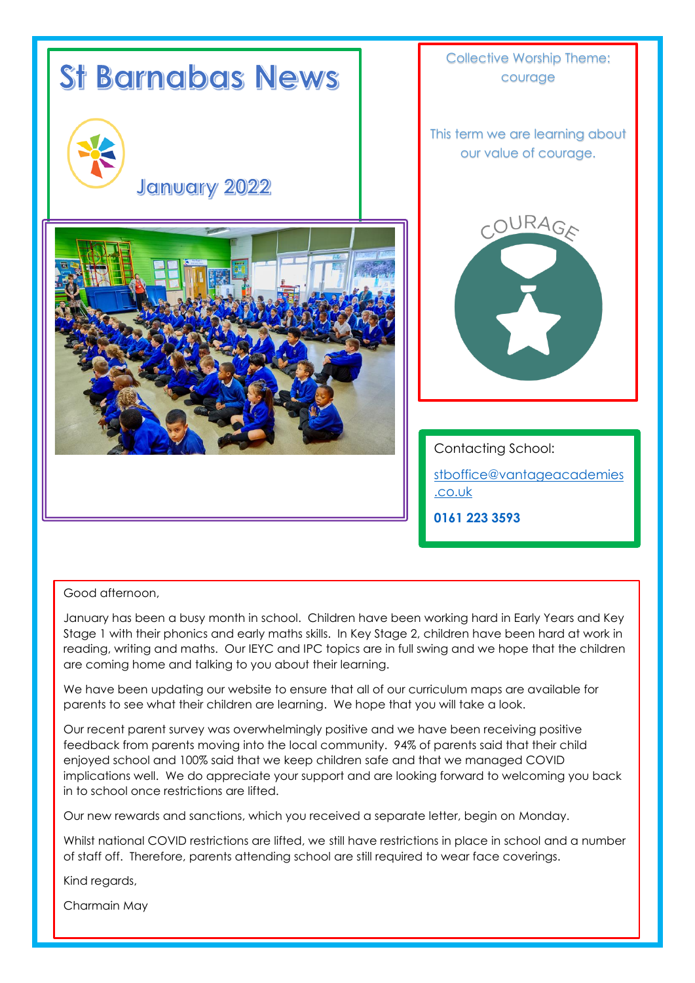

## Good afternoon,

January has been a busy month in school. Children have been working hard in Early Years and Key Stage 1 with their phonics and early maths skills. In Key Stage 2, children have been hard at work in reading, writing and maths. Our IEYC and IPC topics are in full swing and we hope that the children are coming home and talking to you about their learning.

We have been updating our website to ensure that all of our curriculum maps are available for parents to see what their children are learning. We hope that you will take a look.

Our recent parent survey was overwhelmingly positive and we have been receiving positive feedback from parents moving into the local community. 94% of parents said that their child enjoyed school and 100% said that we keep children safe and that we managed COVID implications well. We do appreciate your support and are looking forward to welcoming you back in to school once restrictions are lifted.

Our new rewards and sanctions, which you received a separate letter, begin on Monday.

Whilst national COVID restrictions are lifted, we still have restrictions in place in school and a number of staff off. Therefore, parents attending school are still required to wear face coverings.

Kind regards,

Charmain May